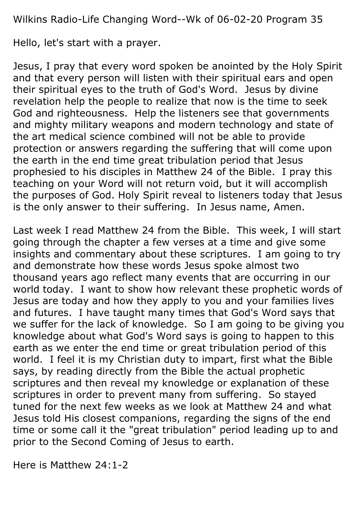Wilkins Radio-Life Changing Word--Wk of 06-02-20 Program 35

Hello, let's start with a prayer.

Jesus, I pray that every word spoken be anointed by the Holy Spirit and that every person will listen with their spiritual ears and open their spiritual eyes to the truth of God's Word. Jesus by divine revelation help the people to realize that now is the time to seek God and righteousness. Help the listeners see that governments and mighty military weapons and modern technology and state of the art medical science combined will not be able to provide protection or answers regarding the suffering that will come upon the earth in the end time great tribulation period that Jesus prophesied to his disciples in Matthew 24 of the Bible. I pray this teaching on your Word will not return void, but it will accomplish the purposes of God. Holy Spirit reveal to listeners today that Jesus is the only answer to their suffering. In Jesus name, Amen.

Last week I read Matthew 24 from the Bible. This week, I will start going through the chapter a few verses at a time and give some insights and commentary about these scriptures. I am going to try and demonstrate how these words Jesus spoke almost two thousand years ago reflect many events that are occurring in our world today. I want to show how relevant these prophetic words of Jesus are today and how they apply to you and your families lives and futures. I have taught many times that God's Word says that we suffer for the lack of knowledge. So I am going to be giving you knowledge about what God's Word says is going to happen to this earth as we enter the end time or great tribulation period of this world. I feel it is my Christian duty to impart, first what the Bible says, by reading directly from the Bible the actual prophetic scriptures and then reveal my knowledge or explanation of these scriptures in order to prevent many from suffering. So stayed tuned for the next few weeks as we look at Matthew 24 and what Jesus told His closest companions, regarding the signs of the end time or some call it the "great tribulation" period leading up to and prior to the Second Coming of Jesus to earth.

Here is Matthew 24:1-2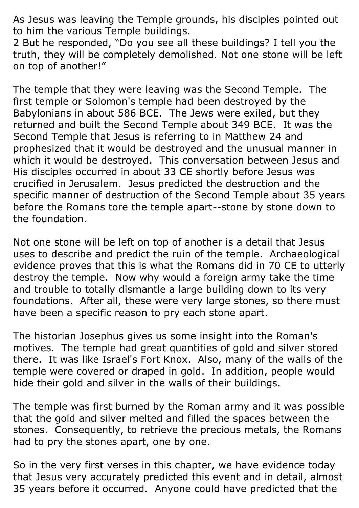As Jesus was leaving the Temple grounds, his disciples pointed out to him the various Temple buildings.

2 But he responded, "Do you see all these buildings? I tell you the truth, they will be completely demolished. Not one stone will be left on top of another!"

The temple that they were leaving was the Second Temple. The first temple or Solomon's temple had been destroyed by the Babylonians in about 586 BCE. The Jews were exiled, but they returned and built the Second Temple about 349 BCE. It was the Second Temple that Jesus is referring to in Matthew 24 and prophesized that it would be destroyed and the unusual manner in which it would be destroyed. This conversation between Jesus and His disciples occurred in about 33 CE shortly before Jesus was crucified in Jerusalem. Jesus predicted the destruction and the specific manner of destruction of the Second Temple about 35 years before the Romans tore the temple apart--stone by stone down to the foundation.

Not one stone will be left on top of another is a detail that Jesus uses to describe and predict the ruin of the temple. Archaeological evidence proves that this is what the Romans did in 70 CE to utterly destroy the temple. Now why would a foreign army take the time and trouble to totally dismantle a large building down to its very foundations. After all, these were very large stones, so there must have been a specific reason to pry each stone apart.

The historian Josephus gives us some insight into the Roman's motives. The temple had great quantities of gold and silver stored there. It was like Israel's Fort Knox. Also, many of the walls of the temple were covered or draped in gold. In addition, people would hide their gold and silver in the walls of their buildings.

The temple was first burned by the Roman army and it was possible that the gold and silver melted and filled the spaces between the stones. Consequently, to retrieve the precious metals, the Romans had to pry the stones apart, one by one.

So in the very first verses in this chapter, we have evidence today that Jesus very accurately predicted this event and in detail, almost 35 years before it occurred. Anyone could have predicted that the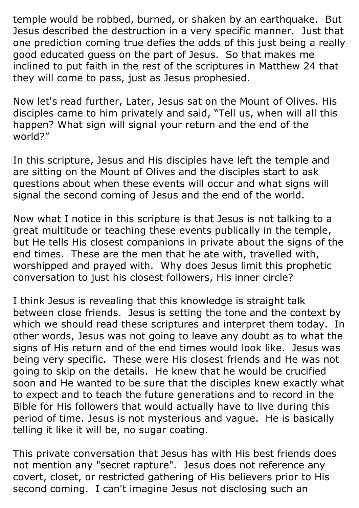temple would be robbed, burned, or shaken by an earthquake. But Jesus described the destruction in a very specific manner. Just that one prediction coming true defies the odds of this just being a really good educated guess on the part of Jesus. So that makes me inclined to put faith in the rest of the scriptures in Matthew 24 that they will come to pass, just as Jesus prophesied.

Now let's read further, Later, Jesus sat on the Mount of Olives. His disciples came to him privately and said, "Tell us, when will all this happen? What sign will signal your return and the end of the world?"

In this scripture, Jesus and His disciples have left the temple and are sitting on the Mount of Olives and the disciples start to ask questions about when these events will occur and what signs will signal the second coming of Jesus and the end of the world.

Now what I notice in this scripture is that Jesus is not talking to a great multitude or teaching these events publically in the temple, but He tells His closest companions in private about the signs of the end times. These are the men that he ate with, travelled with, worshipped and prayed with. Why does Jesus limit this prophetic conversation to just his closest followers, His inner circle?

I think Jesus is revealing that this knowledge is straight talk between close friends. Jesus is setting the tone and the context by which we should read these scriptures and interpret them today. In other words, Jesus was not going to leave any doubt as to what the signs of His return and of the end times would look like. Jesus was being very specific. These were His closest friends and He was not going to skip on the details. He knew that he would be crucified soon and He wanted to be sure that the disciples knew exactly what to expect and to teach the future generations and to record in the Bible for His followers that would actually have to live during this period of time. Jesus is not mysterious and vague. He is basically telling it like it will be, no sugar coating.

This private conversation that Jesus has with His best friends does not mention any "secret rapture". Jesus does not reference any covert, closet, or restricted gathering of His believers prior to His second coming. I can't imagine Jesus not disclosing such an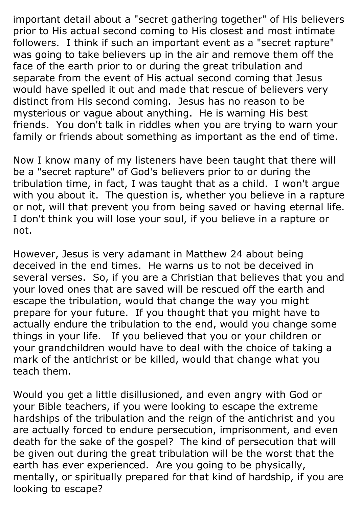important detail about a "secret gathering together" of His believers prior to His actual second coming to His closest and most intimate followers. I think if such an important event as a "secret rapture" was going to take believers up in the air and remove them off the face of the earth prior to or during the great tribulation and separate from the event of His actual second coming that Jesus would have spelled it out and made that rescue of believers very distinct from His second coming. Jesus has no reason to be mysterious or vague about anything. He is warning His best friends. You don't talk in riddles when you are trying to warn your family or friends about something as important as the end of time.

Now I know many of my listeners have been taught that there will be a "secret rapture" of God's believers prior to or during the tribulation time, in fact, I was taught that as a child. I won't argue with you about it. The question is, whether you believe in a rapture or not, will that prevent you from being saved or having eternal life. I don't think you will lose your soul, if you believe in a rapture or not.

However, Jesus is very adamant in Matthew 24 about being deceived in the end times. He warns us to not be deceived in several verses. So, if you are a Christian that believes that you and your loved ones that are saved will be rescued off the earth and escape the tribulation, would that change the way you might prepare for your future. If you thought that you might have to actually endure the tribulation to the end, would you change some things in your life. If you believed that you or your children or your grandchildren would have to deal with the choice of taking a mark of the antichrist or be killed, would that change what you teach them.

Would you get a little disillusioned, and even angry with God or your Bible teachers, if you were looking to escape the extreme hardships of the tribulation and the reign of the antichrist and you are actually forced to endure persecution, imprisonment, and even death for the sake of the gospel? The kind of persecution that will be given out during the great tribulation will be the worst that the earth has ever experienced. Are you going to be physically, mentally, or spiritually prepared for that kind of hardship, if you are looking to escape?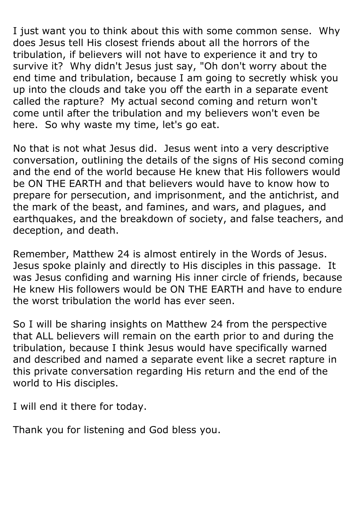I just want you to think about this with some common sense. Why does Jesus tell His closest friends about all the horrors of the tribulation, if believers will not have to experience it and try to survive it? Why didn't Jesus just say, "Oh don't worry about the end time and tribulation, because I am going to secretly whisk you up into the clouds and take you off the earth in a separate event called the rapture? My actual second coming and return won't come until after the tribulation and my believers won't even be here. So why waste my time, let's go eat.

No that is not what Jesus did. Jesus went into a very descriptive conversation, outlining the details of the signs of His second coming and the end of the world because He knew that His followers would be ON THE EARTH and that believers would have to know how to prepare for persecution, and imprisonment, and the antichrist, and the mark of the beast, and famines, and wars, and plagues, and earthquakes, and the breakdown of society, and false teachers, and deception, and death.

Remember, Matthew 24 is almost entirely in the Words of Jesus. Jesus spoke plainly and directly to His disciples in this passage. It was Jesus confiding and warning His inner circle of friends, because He knew His followers would be ON THE EARTH and have to endure the worst tribulation the world has ever seen.

So I will be sharing insights on Matthew 24 from the perspective that ALL believers will remain on the earth prior to and during the tribulation, because I think Jesus would have specifically warned and described and named a separate event like a secret rapture in this private conversation regarding His return and the end of the world to His disciples.

I will end it there for today.

Thank you for listening and God bless you.